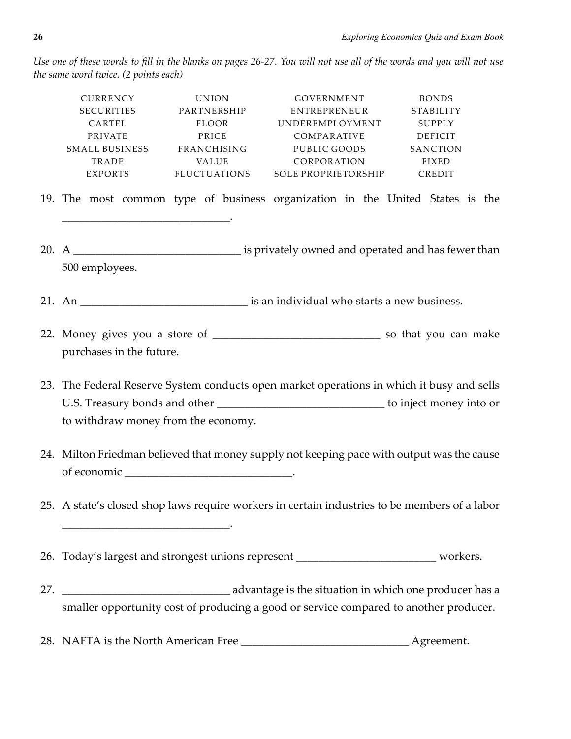*Use one of these words to fill in the blanks on pages 26-27. You will not use all of the words and you will not use the same word twice. (2 points each)*

|     | CURRENCY<br>SECURITIES<br>CARTEL<br>PRIVATE<br>SMALL BUSINESS FRANCHISING<br>TRADE<br><b>EXPORTS</b>                             | <b>UNION</b><br>PARTNERSHIP<br>FLOOR<br>PRICE<br>VALUE<br>FLUCTUATIONS | GOVERNMENT<br>ENTREPRENEUR<br>UNDEREMPLOYMENT<br>COMPARATIVE<br>PUBLIC GOODS<br>CORPORATION<br>SOLE PROPRIETORSHIP | <b>BONDS</b><br>STABILITY<br>SUPPLY<br>DEFICIT<br>SANCTION<br><b>FIXED</b><br>CREDIT      |  |
|-----|----------------------------------------------------------------------------------------------------------------------------------|------------------------------------------------------------------------|--------------------------------------------------------------------------------------------------------------------|-------------------------------------------------------------------------------------------|--|
|     | 19. The most common type of business organization in the United States is the                                                    |                                                                        |                                                                                                                    |                                                                                           |  |
|     | 500 employees.                                                                                                                   |                                                                        |                                                                                                                    |                                                                                           |  |
|     |                                                                                                                                  |                                                                        |                                                                                                                    |                                                                                           |  |
|     | purchases in the future.                                                                                                         |                                                                        |                                                                                                                    |                                                                                           |  |
|     | 23. The Federal Reserve System conducts open market operations in which it busy and sells<br>to withdraw money from the economy. |                                                                        |                                                                                                                    | U.S. Treasury bonds and other ___________________________________ to inject money into or |  |
|     | 24. Milton Friedman believed that money supply not keeping pace with output was the cause                                        |                                                                        |                                                                                                                    |                                                                                           |  |
|     | 25. A state's closed shop laws require workers in certain industries to be members of a labor                                    |                                                                        |                                                                                                                    |                                                                                           |  |
|     | 26. Today's largest and strongest unions represent ____________________________ workers.                                         |                                                                        |                                                                                                                    |                                                                                           |  |
| 27. |                                                                                                                                  |                                                                        |                                                                                                                    |                                                                                           |  |
|     | smaller opportunity cost of producing a good or service compared to another producer.                                            |                                                                        |                                                                                                                    |                                                                                           |  |

28. NAFTA is the North American Free \_\_\_\_\_\_\_\_\_\_\_\_\_\_\_\_\_\_\_\_\_\_\_\_\_\_\_\_\_\_ Agreement.